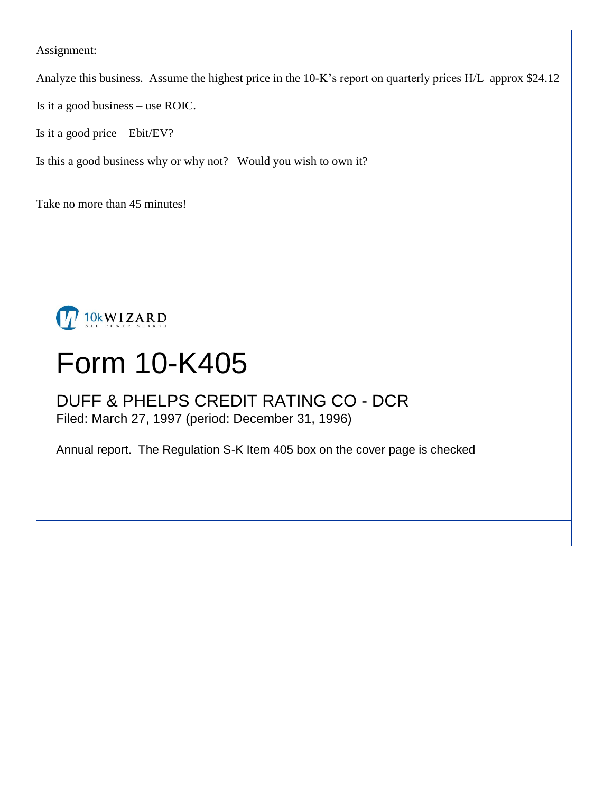Assignment:

Analyze this business. Assume the highest price in the 10-K's report on quarterly prices H/L approx \$24.12

Is it a good business – use ROIC.

Is it a good price – Ebit/EV?

Is this a good business why or why not? Would you wish to own it?

Take no more than 45 minutes!



# Form 10-K405

# DUFF & PHELPS CREDIT RATING CO - DCR Filed: March 27, 1997 (period: December 31, 1996)

Annual report. The Regulation S-K Item 405 box on the cover page is checked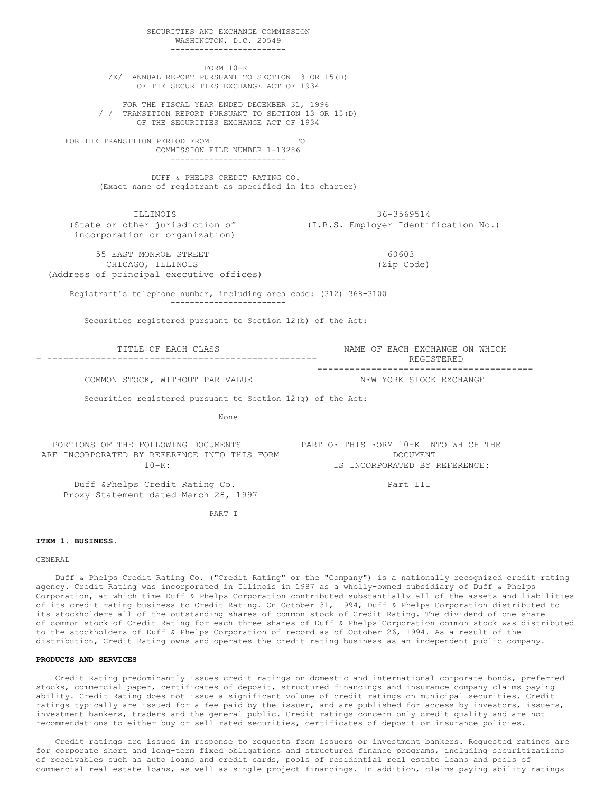SECURITIES AND EXCHANGE COMMISSION WASHINGTON, D.C. 20549 ------------------------ FORM 10-K /X/ ANNUAL REPORT PURSUANT TO SECTION 13 OR 15(D) OF THE SECURITIES EXCHANGE ACT OF 1934 FOR THE FISCAL YEAR ENDED DECEMBER 31, 1996 / / TRANSITION REPORT PURSUANT TO SECTION 13 OR 15(D) OF THE SECURITIES EXCHANGE ACT OF 1934 FOR THE TRANSITION PERIOD FROM TO COMMISSION FILE NUMBER 1-13286 ------------------------ DUFF & PHELPS CREDIT RATING CO. (Exact name of registrant as specified in its charter) ILLINOIS 36-3569514 (State or other jurisdiction of (I.R.S. Employer Identification No.) incorporation or organization) 55 EAST MONROE STREET 60603 CHICAGO, ILLINOIS (Zip Code) (Address of principal executive offices) Registrant's telephone number, including area code: (312) 368-3100 ------------------------ Securities registered pursuant to Section 12(b) of the Act: TITLE OF EACH CLASS **NAME OF EACH EXCHANGE ON WHICH** - -------------------------------------------------- REGISTERED ---------------------------------------- COMMON STOCK, WITHOUT PAR VALUE NEW YORK STOCK EXCHANGE Securities registered pursuant to Section 12(g) of the Act: **None** None PORTIONS OF THE FOLLOWING DOCUMENTS PART OF THIS FORM 10-K INTO WHICH THE ARE INCORPORATED BY REFERENCE INTO THIS FORM **EXAMPLE SET ASSESS** DOCUMENT 10-K: IS INCORPORATED BY REFERENCE: Duff &Phelps Credit Rating Co. The Part III Proxy Statement dated March 28, 1997 PART I

#### **ITEM 1. BUSINESS.**

GENERAL

 Duff & Phelps Credit Rating Co. ("Credit Rating" or the "Company") is a nationally recognized credit rating agency. Credit Rating was incorporated in Illinois in 1987 as a wholly-owned subsidiary of Duff & Phelps Corporation, at which time Duff & Phelps Corporation contributed substantially all of the assets and liabilities of its credit rating business to Credit Rating. On October 31, 1994, Duff & Phelps Corporation distributed to its stockholders all of the outstanding shares of common stock of Credit Rating. The dividend of one share of common stock of Credit Rating for each three shares of Duff & Phelps Corporation common stock was distributed to the stockholders of Duff & Phelps Corporation of record as of October 26, 1994. As a result of the distribution, Credit Rating owns and operates the credit rating business as an independent public company.

#### **PRODUCTS AND SERVICES**

 Credit Rating predominantly issues credit ratings on domestic and international corporate bonds, preferred stocks, commercial paper, certificates of deposit, structured financings and insurance company claims paying ability. Credit Rating does not issue a significant volume of credit ratings on municipal securities. Credit ratings typically are issued for a fee paid by the issuer, and are published for access by investors, issuers, investment bankers, traders and the general public. Credit ratings concern only credit quality and are not recommendations to either buy or sell rated securities, certificates of deposit or insurance policies.

 Credit ratings are issued in response to requests from issuers or investment bankers. Requested ratings are for corporate short and long-term fixed obligations and structured finance programs, including securitizations of receivables such as auto loans and credit cards, pools of residential real estate loans and pools of commercial real estate loans, as well as single project financings. In addition, claims paying ability ratings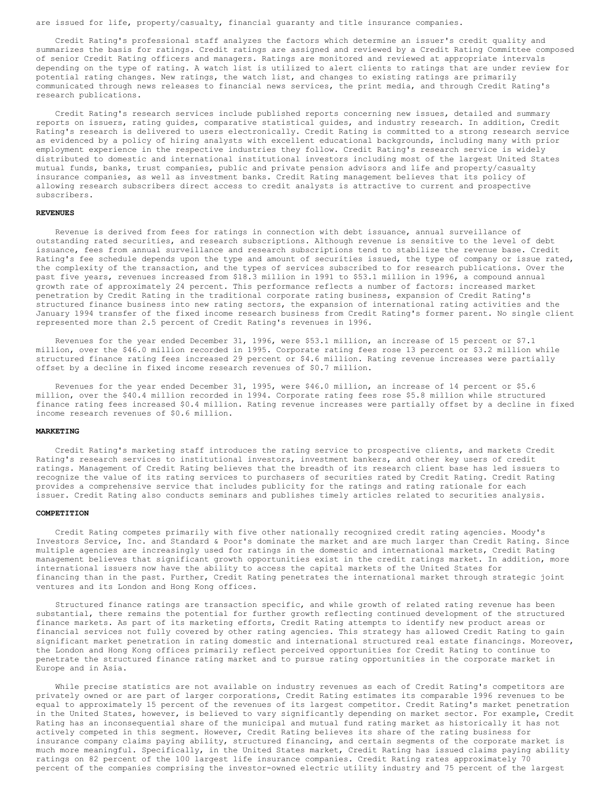are issued for life, property/casualty, financial guaranty and title insurance companies.

 Credit Rating's professional staff analyzes the factors which determine an issuer's credit quality and summarizes the basis for ratings. Credit ratings are assigned and reviewed by a Credit Rating Committee composed of senior Credit Rating officers and managers. Ratings are monitored and reviewed at appropriate intervals depending on the type of rating. A watch list is utilized to alert clients to ratings that are under review for potential rating changes. New ratings, the watch list, and changes to existing ratings are primarily communicated through news releases to financial news services, the print media, and through Credit Rating's research publications.

 Credit Rating's research services include published reports concerning new issues, detailed and summary reports on issuers, rating guides, comparative statistical guides, and industry research. In addition, Credit Rating's research is delivered to users electronically. Credit Rating is committed to a strong research service as evidenced by a policy of hiring analysts with excellent educational backgrounds, including many with prior employment experience in the respective industries they follow. Credit Rating's research service is widely distributed to domestic and international institutional investors including most of the largest United States mutual funds, banks, trust companies, public and private pension advisors and life and property/casualty insurance companies, as well as investment banks. Credit Rating management believes that its policy of allowing research subscribers direct access to credit analysts is attractive to current and prospective subscribers.

# **REVENUES**

 Revenue is derived from fees for ratings in connection with debt issuance, annual surveillance of outstanding rated securities, and research subscriptions. Although revenue is sensitive to the level of debt issuance, fees from annual surveillance and research subscriptions tend to stabilize the revenue base. Credit Rating's fee schedule depends upon the type and amount of securities issued, the type of company or issue rated, the complexity of the transaction, and the types of services subscribed to for research publications. Over the past five years, revenues increased from \$18.3 million in 1991 to \$53.1 million in 1996, a compound annual growth rate of approximately 24 percent. This performance reflects a number of factors: increased market penetration by Credit Rating in the traditional corporate rating business, expansion of Credit Rating's structured finance business into new rating sectors, the expansion of international rating activities and the January 1994 transfer of the fixed income research business from Credit Rating's former parent. No single client represented more than 2.5 percent of Credit Rating's revenues in 1996.

 Revenues for the year ended December 31, 1996, were \$53.1 million, an increase of 15 percent or \$7.1 million, over the \$46.0 million recorded in 1995. Corporate rating fees rose 13 percent or \$3.2 million while structured finance rating fees increased 29 percent or \$4.6 million. Rating revenue increases were partially offset by a decline in fixed income research revenues of \$0.7 million.

 Revenues for the year ended December 31, 1995, were \$46.0 million, an increase of 14 percent or \$5.6 million, over the \$40.4 million recorded in 1994. Corporate rating fees rose \$5.8 million while structured finance rating fees increased \$0.4 million. Rating revenue increases were partially offset by a decline in fixed income research revenues of \$0.6 million.

# **MARKETING**

 Credit Rating's marketing staff introduces the rating service to prospective clients, and markets Credit Rating's research services to institutional investors, investment bankers, and other key users of credit ratings. Management of Credit Rating believes that the breadth of its research client base has led issuers to recognize the value of its rating services to purchasers of securities rated by Credit Rating. Credit Rating provides a comprehensive service that includes publicity for the ratings and rating rationale for each issuer. Credit Rating also conducts seminars and publishes timely articles related to securities analysis.

# **COMPETITION**

 Credit Rating competes primarily with five other nationally recognized credit rating agencies. Moody's Investors Service, Inc. and Standard & Poor's dominate the market and are much larger than Credit Rating. Since multiple agencies are increasingly used for ratings in the domestic and international markets, Credit Rating management believes that significant growth opportunities exist in the credit ratings market. In addition, more international issuers now have the ability to access the capital markets of the United States for financing than in the past. Further, Credit Rating penetrates the international market through strategic joint ventures and its London and Hong Kong offices.

 Structured finance ratings are transaction specific, and while growth of related rating revenue has been substantial, there remains the potential for further growth reflecting continued development of the structured finance markets. As part of its marketing efforts, Credit Rating attempts to identify new product areas or financial services not fully covered by other rating agencies. This strategy has allowed Credit Rating to gain significant market penetration in rating domestic and international structured real estate financings. Moreover, the London and Hong Kong offices primarily reflect perceived opportunities for Credit Rating to continue to penetrate the structured finance rating market and to pursue rating opportunities in the corporate market in Europe and in Asia.

 While precise statistics are not available on industry revenues as each of Credit Rating's competitors are privately owned or are part of larger corporations, Credit Rating estimates its comparable 1996 revenues to be equal to approximately 15 percent of the revenues of its largest competitor. Credit Rating's market penetration in the United States, however, is believed to vary significantly depending on market sector. For example, Credit Rating has an inconsequential share of the municipal and mutual fund rating market as historically it has not actively competed in this segment. However, Credit Rating believes its share of the rating business for insurance company claims paying ability, structured financing, and certain segments of the corporate market is much more meaningful. Specifically, in the United States market, Credit Rating has issued claims paying ability ratings on 82 percent of the 100 largest life insurance companies. Credit Rating rates approximately 70 percent of the companies comprising the investor-owned electric utility industry and 75 percent of the largest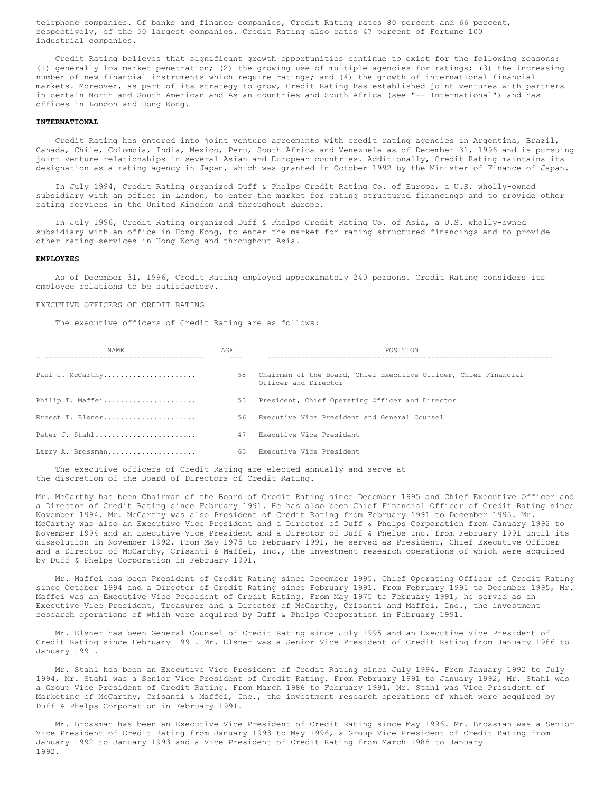telephone companies. Of banks and finance companies, Credit Rating rates 80 percent and 66 percent, respectively, of the 50 largest companies. Credit Rating also rates 47 percent of Fortune 100 industrial companies.

 Credit Rating believes that significant growth opportunities continue to exist for the following reasons: (1) generally low market penetration; (2) the growing use of multiple agencies for ratings; (3) the increasing number of new financial instruments which require ratings; and (4) the growth of international financial markets. Moreover, as part of its strategy to grow, Credit Rating has established joint ventures with partners in certain North and South American and Asian countries and South Africa (see "-- International") and has offices in London and Hong Kong.

# **INTERNATIONAL**

 Credit Rating has entered into joint venture agreements with credit rating agencies in Argentina, Brazil, Canada, Chile, Colombia, India, Mexico, Peru, South Africa and Venezuela as of December 31, 1996 and is pursuing joint venture relationships in several Asian and European countries. Additionally, Credit Rating maintains its designation as a rating agency in Japan, which was granted in October 1992 by the Minister of Finance of Japan.

 In July 1994, Credit Rating organized Duff & Phelps Credit Rating Co. of Europe, a U.S. wholly-owned subsidiary with an office in London, to enter the market for rating structured financings and to provide other rating services in the United Kingdom and throughout Europe.

 In July 1996, Credit Rating organized Duff & Phelps Credit Rating Co. of Asia, a U.S. wholly-owned subsidiary with an office in Hong Kong, to enter the market for rating structured financings and to provide other rating services in Hong Kong and throughout Asia.

# **EMPLOYEES**

 As of December 31, 1996, Credit Rating employed approximately 240 persons. Credit Rating considers its employee relations to be satisfactory.

# EXECUTIVE OFFICERS OF CREDIT RATING

The executive officers of Credit Rating are as follows:

| NAME.             | AGE | POSITION                                                                                |
|-------------------|-----|-----------------------------------------------------------------------------------------|
| Paul J. McCarthy  | 58  | Chairman of the Board, Chief Executive Officer, Chief Financial<br>Officer and Director |
| Philip T. Maffei  |     | 53 President, Chief Operating Officer and Director                                      |
| Ernest T. Elsner  |     | 56 Executive Vice President and General Counsel                                         |
| Peter J. Stahl    | 47  | Executive Vice President                                                                |
| Larry A. Brossman | 63  | Executive Vice President                                                                |

 The executive officers of Credit Rating are elected annually and serve at the discretion of the Board of Directors of Credit Rating.

Mr. McCarthy has been Chairman of the Board of Credit Rating since December 1995 and Chief Executive Officer and a Director of Credit Rating since February 1991. He has also been Chief Financial Officer of Credit Rating since November 1994. Mr. McCarthy was also President of Credit Rating from February 1991 to December 1995. Mr. McCarthy was also an Executive Vice President and a Director of Duff & Phelps Corporation from January 1992 to November 1994 and an Executive Vice President and a Director of Duff & Phelps Inc. from February 1991 until its dissolution in November 1992. From May 1975 to February 1991, he served as President, Chief Executive Officer and a Director of McCarthy, Crisanti & Maffei, Inc., the investment research operations of which were acquired by Duff & Phelps Corporation in February 1991.

 Mr. Maffei has been President of Credit Rating since December 1995, Chief Operating Officer of Credit Rating since October 1994 and a Director of Credit Rating since February 1991. From February 1991 to December 1995, Mr. Maffei was an Executive Vice President of Credit Rating. From May 1975 to February 1991, he served as an Executive Vice President, Treasurer and a Director of McCarthy, Crisanti and Maffei, Inc., the investment research operations of which were acquired by Duff & Phelps Corporation in February 1991.

 Mr. Elsner has been General Counsel of Credit Rating since July 1995 and an Executive Vice President of Credit Rating since February 1991. Mr. Elsner was a Senior Vice President of Credit Rating from January 1986 to January 1991.

 Mr. Stahl has been an Executive Vice President of Credit Rating since July 1994. From January 1992 to July 1994, Mr. Stahl was a Senior Vice President of Credit Rating. From February 1991 to January 1992, Mr. Stahl was a Group Vice President of Credit Rating. From March 1986 to February 1991, Mr. Stahl was Vice President of Marketing of McCarthy, Crisanti & Maffei, Inc., the investment research operations of which were acquired by Duff & Phelps Corporation in February 1991.

 Mr. Brossman has been an Executive Vice President of Credit Rating since May 1996. Mr. Brossman was a Senior Vice President of Credit Rating from January 1993 to May 1996, a Group Vice President of Credit Rating from January 1992 to January 1993 and a Vice President of Credit Rating from March 1988 to January 1992.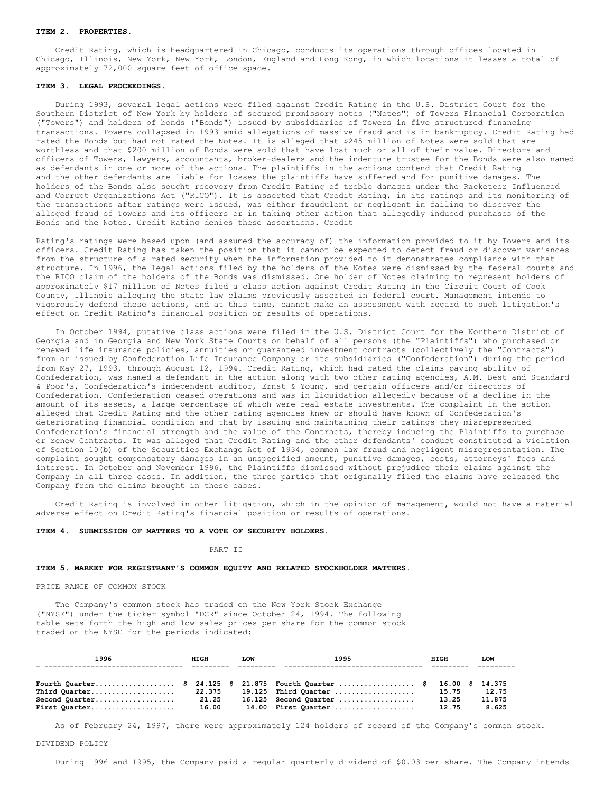# **ITEM 2. PROPERTIES.**

 Credit Rating, which is headquartered in Chicago, conducts its operations through offices located in Chicago, Illinois, New York, New York, London, England and Hong Kong, in which locations it leases a total of approximately 72,000 square feet of office space.

#### **ITEM 3. LEGAL PROCEEDINGS.**

 During 1993, several legal actions were filed against Credit Rating in the U.S. District Court for the Southern District of New York by holders of secured promissory notes ("Notes") of Towers Financial Corporation ("Towers") and holders of bonds ("Bonds") issued by subsidiaries of Towers in five structured financing transactions. Towers collapsed in 1993 amid allegations of massive fraud and is in bankruptcy. Credit Rating had rated the Bonds but had not rated the Notes. It is alleged that \$245 million of Notes were sold that are worthless and that \$200 million of Bonds were sold that have lost much or all of their value. Directors and officers of Towers, lawyers, accountants, broker-dealers and the indenture trustee for the Bonds were also named as defendants in one or more of the actions. The plaintiffs in the actions contend that Credit Rating and the other defendants are liable for losses the plaintiffs have suffered and for punitive damages. The holders of the Bonds also sought recovery from Credit Rating of treble damages under the Racketeer Influenced and Corrupt Organizations Act ("RICO"). It is asserted that Credit Rating, in its ratings and its monitoring of the transactions after ratings were issued, was either fraudulent or negligent in failing to discover the alleged fraud of Towers and its officers or in taking other action that allegedly induced purchases of the Bonds and the Notes. Credit Rating denies these assertions. Credit

Rating's ratings were based upon (and assumed the accuracy of) the information provided to it by Towers and its officers. Credit Rating has taken the position that it cannot be expected to detect fraud or discover variances from the structure of a rated security when the information provided to it demonstrates compliance with that structure. In 1996, the legal actions filed by the holders of the Notes were dismissed by the federal courts and the RICO claim of the holders of the Bonds was dismissed. One holder of Notes claiming to represent holders of approximately \$17 million of Notes filed a class action against Credit Rating in the Circuit Court of Cook County, Illinois alleging the state law claims previously asserted in federal court. Management intends to vigorously defend these actions, and at this time, cannot make an assessment with regard to such litigation's effect on Credit Rating's financial position or results of operations.

 In October 1994, putative class actions were filed in the U.S. District Court for the Northern District of Georgia and in Georgia and New York State Courts on behalf of all persons (the "Plaintiffs") who purchased or renewed life insurance policies, annuities or guaranteed investment contracts (collectively the "Contracts") from or issued by Confederation Life Insurance Company or its subsidiaries ("Confederation") during the period from May 27, 1993, through August 12, 1994. Credit Rating, which had rated the claims paying ability of Confederation, was named a defendant in the action along with two other rating agencies, A.M. Best and Standard & Poor's, Confederation's independent auditor, Ernst & Young, and certain officers and/or directors of Confederation. Confederation ceased operations and was in liquidation allegedly because of a decline in the amount of its assets, a large percentage of which were real estate investments. The complaint in the action alleged that Credit Rating and the other rating agencies knew or should have known of Confederation's deteriorating financial condition and that by issuing and maintaining their ratings they misrepresented Confederation's financial strength and the value of the Contracts, thereby inducing the Plaintiffs to purchase or renew Contracts. It was alleged that Credit Rating and the other defendants' conduct constituted a violation of Section 10(b) of the Securities Exchange Act of 1934, common law fraud and negligent misrepresentation. The complaint sought compensatory damages in an unspecified amount, punitive damages, costs, attorneys' fees and interest. In October and November 1996, the Plaintiffs dismissed without prejudice their claims against the Company in all three cases. In addition, the three parties that originally filed the claims have released the Company from the claims brought in these cases.

 Credit Rating is involved in other litigation, which in the opinion of management, would not have a material adverse effect on Credit Rating's financial position or results of operations.

#### **ITEM 4. SUBMISSION OF MATTERS TO A VOTE OF SECURITY HOLDERS.**

#### PART II

# **ITEM 5. MARKET FOR REGISTRANT'S COMMON EQUITY AND RELATED STOCKHOLDER MATTERS.**

PRICE RANGE OF COMMON STOCK

 The Company's common stock has traded on the New York Stock Exchange ("NYSE") under the ticker symbol "DCR" since October 24, 1994. The following table sets forth the high and low sales prices per share for the common stock traded on the NYSE for the periods indicated:

| 1996                                                | HIGH   | <b>LOW</b> | 1995                   | HIGH            | <b>LOW</b> |  |  |
|-----------------------------------------------------|--------|------------|------------------------|-----------------|------------|--|--|
|                                                     |        |            |                        |                 |            |  |  |
| Fourth Quarter\$ 24.125 \$ 21.875 Fourth Quarter \$ |        |            |                        | 16.00 \$ 14.375 |            |  |  |
| Third Quarter                                       | 22.375 |            | $19.125$ Third Quarter | 15.75           | 12.75      |  |  |
| Second Quarter                                      | 21.25  |            | 16.125 Second Quarter  | 13.25           | 11.875     |  |  |
| First Quarter                                       | 16.00  |            | 14.00 First Quarter    | 12.75           | 8.625      |  |  |

As of February 24, 1997, there were approximately 124 holders of record of the Company's common stock.

DIVIDEND POLICY

During 1996 and 1995, the Company paid a regular quarterly dividend of \$0.03 per share. The Company intends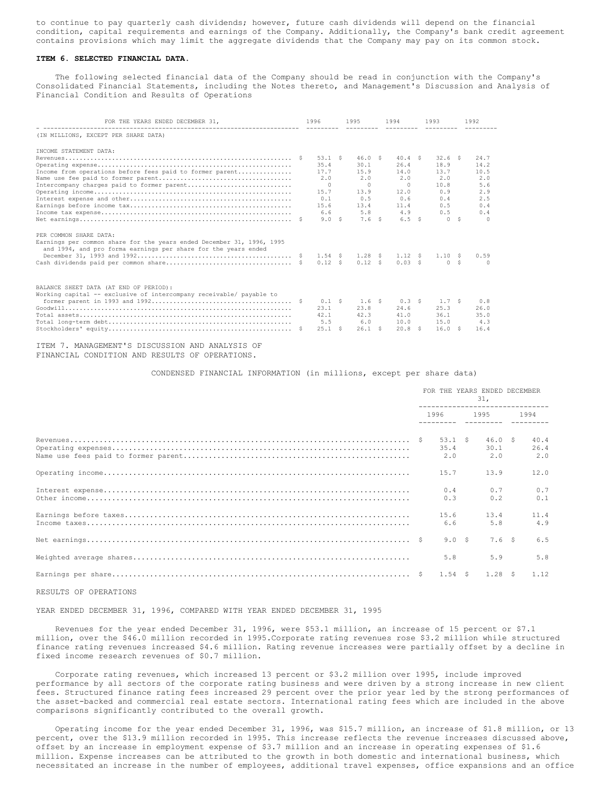to continue to pay quarterly cash dividends; however, future cash dividends will depend on the financial condition, capital requirements and earnings of the Company. Additionally, the Company's bank credit agreement contains provisions which may limit the aggregate dividends that the Company may pay on its common stock.

#### **ITEM 6. SELECTED FINANCIAL DATA.**

 The following selected financial data of the Company should be read in conjunction with the Company's Consolidated Financial Statements, including the Notes thereto, and Management's Discussion and Analysis of Financial Condition and Results of Operations

| FOR THE YEARS ENDED DECEMBER 31,                                                                                                                                  | 1996     |     | 1995       | 1994     |     | 1993                                       |    | 1992   |
|-------------------------------------------------------------------------------------------------------------------------------------------------------------------|----------|-----|------------|----------|-----|--------------------------------------------|----|--------|
| (IN MILLIONS, EXCEPT PER SHARE DATA)                                                                                                                              |          |     |            |          |     |                                            |    |        |
| INCOME STATEMENT DATA:                                                                                                                                            |          |     |            |          |     |                                            |    |        |
|                                                                                                                                                                   | 53.1 S   |     | 46.0 S     | 40.4 S   |     | 32.6 S                                     |    | 24.7   |
|                                                                                                                                                                   | 35.4     |     | 30.1       | 26.4     |     | 18.9                                       |    | 14.2   |
| Income from operations before fees paid to former parent                                                                                                          | 17.7     |     | 15.9       | 14.0     |     | 13.7                                       |    | 10.5   |
|                                                                                                                                                                   | 2.0      |     | 2.0        | 2.0      |     | 2.0                                        |    | 2.0    |
| Intercompany charges paid to former parent                                                                                                                        | $\Omega$ |     | $\Box$     | $\Omega$ |     | 10.8                                       |    | 5.6    |
|                                                                                                                                                                   | 15.7     |     | 13.9       | 12.0     |     | 0.9                                        |    | 2.9    |
|                                                                                                                                                                   | 0.1      |     | 0.5        | 0.6      |     | 0.4                                        |    | 2.5    |
|                                                                                                                                                                   | 15.6     |     | 13.4       | 11.4     |     | 0.5                                        |    | 0.4    |
|                                                                                                                                                                   | 6.6      |     | 5.8        | 4.9      |     | 0.5                                        |    | 0.4    |
|                                                                                                                                                                   | 9.0 S    |     | $7.6-5$    | 6.5 S    |     | $\bigcap$                                  | -Ŝ | $\cap$ |
| PER COMMON SHARE DATA:<br>Earnings per common share for the years ended December 31, 1996, 1995<br>and 1994, and pro forma earnings per share for the years ended |          |     |            |          |     |                                            |    |        |
|                                                                                                                                                                   | 1.54 S   |     | $1.28 \t5$ | 1.12S    |     | 1.10S                                      |    | 0.59   |
|                                                                                                                                                                   | 0.12S    |     | 0.12 S     | 0.03S    |     | $\begin{array}{ccc} & & 0 & 5 \end{array}$ |    | $\cap$ |
| BALANCE SHEET DATA (AT END OF PERIOD):                                                                                                                            |          |     |            |          |     |                                            |    |        |
| Working capital -- exclusive of intercompany receivable/ payable to                                                                                               |          |     |            |          |     |                                            |    |        |
|                                                                                                                                                                   | 0.1 S    |     | 1.6S       | 0.3S     |     | 1.7 \$                                     |    | 0.8    |
|                                                                                                                                                                   | 23.1     |     | 23.8       | 24.6     |     | 25.3                                       |    | 26.0   |
|                                                                                                                                                                   | 42.1     |     | 42.3       | 41.0     |     | 36.1                                       |    | 35.0   |
|                                                                                                                                                                   | 5.5      |     | 6.0        | 10.0     |     | 15.0                                       |    | 4.3    |
|                                                                                                                                                                   | 25.1     | - S | 26.1 S     | 20.8     | - Ŝ | 16.0 S                                     |    | 16.4   |
|                                                                                                                                                                   |          |     |            |          |     |                                            |    |        |

ITEM 7. MANAGEMENT'S DISCUSSION AND ANALYSIS OF FINANCIAL CONDITION AND RESULTS OF OPERATIONS.

# CONDENSED FINANCIAL INFORMATION (in millions, except per share data)

| FOR THE YEARS ENDED DECEMBER<br>31,<br>-------------------------------- |       |                       |  |                     |  |
|-------------------------------------------------------------------------|-------|-----------------------|--|---------------------|--|
|                                                                         |       | 1996 1995             |  | 1994                |  |
| 53.1 \$<br>35.4<br>2.0                                                  |       | 46.0 S<br>30.1<br>2.0 |  | 40.4<br>26.4<br>2.0 |  |
| 15.7                                                                    |       | 13.9                  |  | 12.0                |  |
| 0.4<br>0.3                                                              |       | 0.7<br>0.2            |  | 0.7<br>0.1          |  |
| 15.6<br>6.6                                                             |       | 13.4<br>5.8           |  | 11.4<br>4.9         |  |
|                                                                         | 9.0 S | 7.6 <sub>5</sub>      |  | 6.5                 |  |
| 5.8                                                                     |       | 5.9                   |  | 5.8                 |  |
| 1.54 S                                                                  |       | 1.28 S                |  | 1.12                |  |

RESULTS OF OPERATIONS

YEAR ENDED DECEMBER 31, 1996, COMPARED WITH YEAR ENDED DECEMBER 31, 1995

 Revenues for the year ended December 31, 1996, were \$53.1 million, an increase of 15 percent or \$7.1 million, over the \$46.0 million recorded in 1995.Corporate rating revenues rose \$3.2 million while structured finance rating revenues increased \$4.6 million. Rating revenue increases were partially offset by a decline in fixed income research revenues of \$0.7 million.

 Corporate rating revenues, which increased 13 percent or \$3.2 million over 1995, include improved performance by all sectors of the corporate rating business and were driven by a strong increase in new client fees. Structured finance rating fees increased 29 percent over the prior year led by the strong performances of the asset-backed and commercial real estate sectors. International rating fees which are included in the above comparisons significantly contributed to the overall growth.

 Operating income for the year ended December 31, 1996, was \$15.7 million, an increase of \$1.8 million, or 13 percent, over the \$13.9 million recorded in 1995. This increase reflects the revenue increases discussed above, offset by an increase in employment expense of \$3.7 million and an increase in operating expenses of \$1.6 million. Expense increases can be attributed to the growth in both domestic and international business, which necessitated an increase in the number of employees, additional travel expenses, office expansions and an office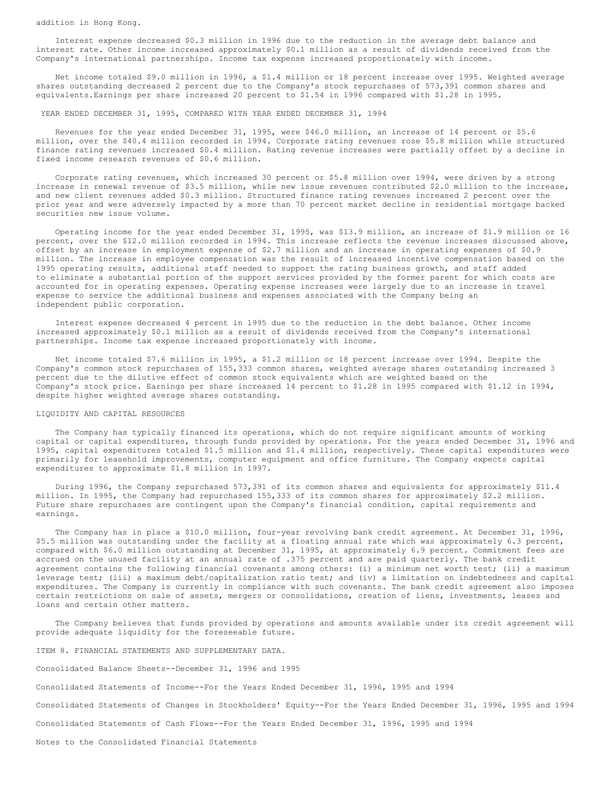Interest expense decreased \$0.3 million in 1996 due to the reduction in the average debt balance and interest rate. Other income increased approximately \$0.1 million as a result of dividends received from the Company's international partnerships. Income tax expense increased proportionately with income.

 Net income totaled \$9.0 million in 1996, a \$1.4 million or 18 percent increase over 1995. Weighted average shares outstanding decreased 2 percent due to the Company's stock repurchases of 573,391 common shares and equivalents.Earnings per share increased 20 percent to \$1.54 in 1996 compared with \$1.28 in 1995.

YEAR ENDED DECEMBER 31, 1995, COMPARED WITH YEAR ENDED DECEMBER 31, 1994

 Revenues for the year ended December 31, 1995, were \$46.0 million, an increase of 14 percent or \$5.6 million, over the \$40.4 million recorded in 1994. Corporate rating revenues rose \$5.8 million while structured finance rating revenues increased \$0.4 million. Rating revenue increases were partially offset by a decline in fixed income research revenues of \$0.6 million.

 Corporate rating revenues, which increased 30 percent or \$5.8 million over 1994, were driven by a strong increase in renewal revenue of \$3.5 million, while new issue revenues contributed \$2.0 million to the increase, and new client revenues added \$0.3 million. Structured finance rating revenues increased 2 percent over the prior year and were adversely impacted by a more than 70 percent market decline in residential mortgage backed securities new issue volume.

 Operating income for the year ended December 31, 1995, was \$13.9 million, an increase of \$1.9 million or 16 percent, over the \$12.0 million recorded in 1994. This increase reflects the revenue increases discussed above, offset by an increase in employment expense of \$2.7 million and an increase in operating expenses of \$0.9 million. The increase in employee compensation was the result of increased incentive compensation based on the 1995 operating results, additional staff needed to support the rating business growth, and staff added to eliminate a substantial portion of the support services provided by the former parent for which costs are accounted for in operating expenses. Operating expense increases were largely due to an increase in travel expense to service the additional business and expenses associated with the Company being an independent public corporation.

 Interest expense decreased 4 percent in 1995 due to the reduction in the debt balance. Other income increased approximately \$0.1 million as a result of dividends received from the Company's international partnerships. Income tax expense increased proportionately with income.

 Net income totaled \$7.6 million in 1995, a \$1.2 million or 18 percent increase over 1994. Despite the Company's common stock repurchases of 155,333 common shares, weighted average shares outstanding increased 3 percent due to the dilutive effect of common stock equivalents which are weighted based on the Company's stock price. Earnings per share increased 14 percent to \$1.28 in 1995 compared with \$1.12 in 1994, despite higher weighted average shares outstanding.

#### LIQUIDITY AND CAPITAL RESOURCES

 The Company has typically financed its operations, which do not require significant amounts of working capital or capital expenditures, through funds provided by operations. For the years ended December 31, 1996 and 1995, capital expenditures totaled \$1.5 million and \$1.4 million, respectively. These capital expenditures were primarily for leasehold improvements, computer equipment and office furniture. The Company expects capital expenditures to approximate \$1.8 million in 1997.

 During 1996, the Company repurchased 573,391 of its common shares and equivalents for approximately \$11.4 million. In 1995, the Company had repurchased 155,333 of its common shares for approximately \$2.2 million. Future share repurchases are contingent upon the Company's financial condition, capital requirements and earnings.

 The Company has in place a \$10.0 million, four-year revolving bank credit agreement. At December 31, 1996, \$5.5 million was outstanding under the facility at a floating annual rate which was approximately 6.3 percent, compared with \$6.0 million outstanding at December 31, 1995, at approximately 6.9 percent. Commitment fees are accrued on the unused facility at an annual rate of .375 percent and are paid quarterly. The bank credit agreement contains the following financial covenants among others: (i) a minimum net worth test; (ii) a maximum leverage test; (iii) a maximum debt/capitalization ratio test; and (iv) a limitation on indebtedness and capital expenditures. The Company is currently in compliance with such covenants. The bank credit agreement also imposes certain restrictions on sale of assets, mergers or consolidations, creation of liens, investments, leases and loans and certain other matters.

 The Company believes that funds provided by operations and amounts available under its credit agreement will provide adequate liquidity for the foreseeable future.

ITEM 8. FINANCIAL STATEMENTS AND SUPPLEMENTARY DATA. Consolidated Balance Sheets--December 31, 1996 and 1995 Consolidated Statements of Income--For the Years Ended December 31, 1996, 1995 and 1994 Consolidated Statements of Changes in Stockholders' Equity--For the Years Ended December 31, 1996, 1995 and 1994 Consolidated Statements of Cash Flows--For the Years Ended December 31, 1996, 1995 and 1994 Notes to the Consolidated Financial Statements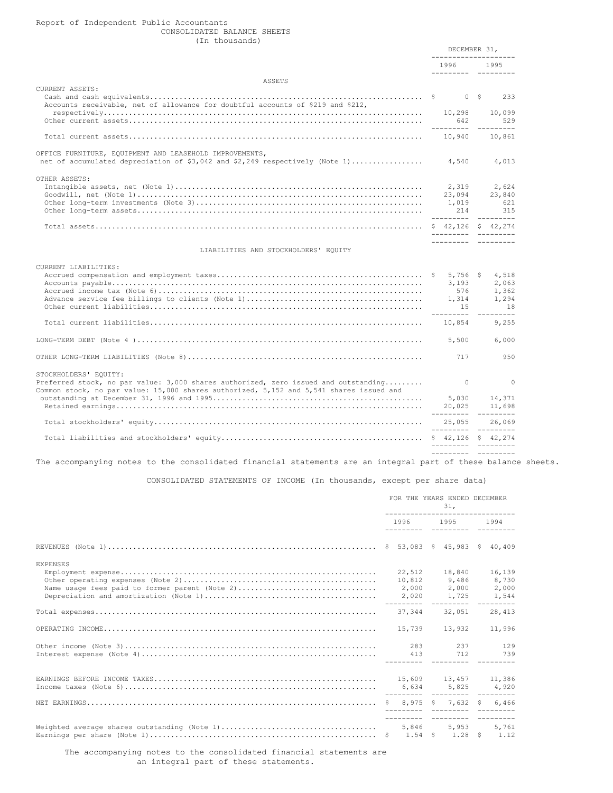# Report of Independent Public Accountants CONSOLIDATED BALANCE SHEETS (In thousands)

|                                                                                                                                                                                | DECEMBER 31,            |                |                        |
|--------------------------------------------------------------------------------------------------------------------------------------------------------------------------------|-------------------------|----------------|------------------------|
|                                                                                                                                                                                | 1996                    |                | 1995                   |
| ASSETS                                                                                                                                                                         |                         |                |                        |
| CURRENT ASSETS:                                                                                                                                                                |                         |                |                        |
| Accounts receivable, net of allowance for doubtful accounts of \$219 and \$212,                                                                                                |                         | 0 <sup>5</sup> | 233                    |
|                                                                                                                                                                                | 10,298                  |                | 10,099                 |
|                                                                                                                                                                                | 642<br>---------        |                | 529                    |
|                                                                                                                                                                                | 10,940                  |                | 10,861                 |
| OFFICE FURNITURE, EQUIPMENT AND LEASEHOLD IMPROVEMENTS,                                                                                                                        |                         |                |                        |
| net of accumulated depreciation of \$3,042 and \$2,249 respectively (Note 1)                                                                                                   | 4,540                   |                | 4,013                  |
| OTHER ASSETS:                                                                                                                                                                  |                         |                |                        |
|                                                                                                                                                                                | 2,319                   |                | 2,624                  |
|                                                                                                                                                                                | 23,094                  |                | 23,840                 |
|                                                                                                                                                                                | 1,019<br>214            |                | 621<br>315             |
|                                                                                                                                                                                |                         |                |                        |
|                                                                                                                                                                                |                         |                |                        |
|                                                                                                                                                                                | _______________________ |                |                        |
| LIABILITIES AND STOCKHOLDERS' EQUITY                                                                                                                                           |                         |                |                        |
| CURRENT LIABILITIES:                                                                                                                                                           |                         |                |                        |
|                                                                                                                                                                                | 5,756 \$                |                | 4,518                  |
|                                                                                                                                                                                | 3,193                   |                | 2,063                  |
|                                                                                                                                                                                | 576                     |                | 1,362                  |
|                                                                                                                                                                                | 1,314<br>1.5            |                | 1,294<br><sup>18</sup> |
|                                                                                                                                                                                |                         |                |                        |
|                                                                                                                                                                                | 10,854                  |                | 9,255                  |
|                                                                                                                                                                                | 5,500                   |                | 6,000                  |
|                                                                                                                                                                                | 717                     |                | 950                    |
| STOCKHOLDERS' EQUITY:                                                                                                                                                          |                         |                |                        |
| Preferred stock, no par value: 3,000 shares authorized, zero issued and outstanding<br>Common stock, no par value: 15,000 shares authorized, 5,152 and 5,541 shares issued and | $\Omega$                |                | $\Omega$               |
|                                                                                                                                                                                | 5,030                   |                | 14,371                 |
|                                                                                                                                                                                | 20,025                  |                | 11,698                 |
|                                                                                                                                                                                | 25,055                  |                | 26,069                 |
|                                                                                                                                                                                |                         |                |                        |
|                                                                                                                                                                                |                         |                |                        |

The accompanying notes to the consolidated financial statements are an integral part of these balance sheets.

CONSOLIDATED STATEMENTS OF INCOME (In thousands, except per share data)

|                                                                   | FOR THE YEARS ENDED DECEMBER<br>31 <sub>r</sub><br>-------------------------------- |                                           |  |                                   |  |                                   |  |
|-------------------------------------------------------------------|-------------------------------------------------------------------------------------|-------------------------------------------|--|-----------------------------------|--|-----------------------------------|--|
|                                                                   | 1996 1995 1994<br><u> deseseses esceleses esce</u> l                                |                                           |  |                                   |  |                                   |  |
|                                                                   |                                                                                     |                                           |  |                                   |  |                                   |  |
| <b>EXPENSES</b><br>Name usage fees paid to former parent (Note 2) |                                                                                     | 22,512<br>10,812<br>2,000<br>2,020        |  | 18,840<br>9,486<br>2,000<br>1,725 |  | 16,139<br>8,730<br>2,000<br>1,544 |  |
|                                                                   |                                                                                     | 37,344                                    |  | 32,051                            |  | 28,413                            |  |
|                                                                   |                                                                                     | 15,739                                    |  | 13,932                            |  | 11,996                            |  |
|                                                                   |                                                                                     | 283<br>413                                |  | 237<br>712 739                    |  | 129                               |  |
|                                                                   |                                                                                     | 15,609 13,457 11,386<br>6,634 5,825 4,920 |  |                                   |  |                                   |  |
|                                                                   |                                                                                     | ---------  ---------  --------            |  |                                   |  |                                   |  |
|                                                                   |                                                                                     |                                           |  |                                   |  |                                   |  |

 The accompanying notes to the consolidated financial statements are an integral part of these statements.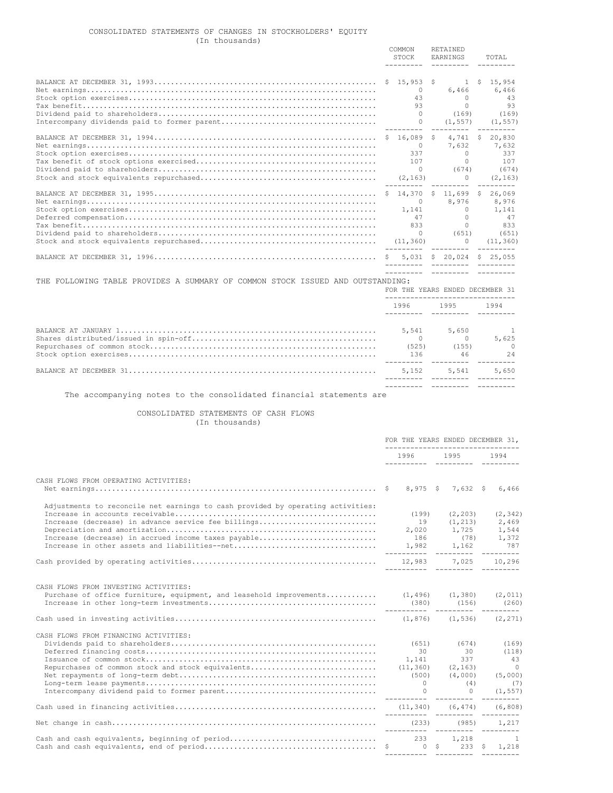# CONSOLIDATED STATEMENTS OF CHANGES IN STOCKHOLDERS' EQUITY (In thousands)

|                                                                                    | COMMON<br>STOCK |                                                                 |     | RETAINED<br>EARNINGS                                                               | TOTAL                                                       |
|------------------------------------------------------------------------------------|-----------------|-----------------------------------------------------------------|-----|------------------------------------------------------------------------------------|-------------------------------------------------------------|
|                                                                                    |                 | $\cap$<br>43<br>93<br>$\Omega$<br>$\Omega$                      |     | 6,466<br>$\Omega$<br>$\Omega$<br>(169)<br>(1, 557)                                 | $1 \quad $15,954$<br>6,466<br>43<br>93<br>(169)<br>(1, 557) |
|                                                                                    |                 | $$16.089$ \$<br>$\Omega$<br>337<br>107<br>$\Omega$<br>(2, 163)  |     | 7,632<br>$\Omega$<br>$\Omega$<br>(674)<br>$\cap$                                   | 4,741 \$ 20,830<br>7,632<br>337<br>107<br>(674)<br>(2, 163) |
|                                                                                    |                 | 14,370<br>$\Omega$<br>1,141<br>47<br>833<br>$\cap$<br>(11, 360) | - S | 11,699 \$ 26,069<br>8,976<br>$\Omega$<br>$\Omega$<br>$\Omega$<br>(651)<br>$\Omega$ | 8,976<br>1,141<br>47<br>833<br>(651)<br>(11, 360)           |
|                                                                                    |                 | $5,031$ \$                                                      |     | 20,024                                                                             | 25.055                                                      |
| FOLLOWING TABLE PROVIDES A SUMMARY OF COMMON STOCK ISSUED AND OUTSTANDING:<br>THE. |                 | FOR THE YEARS ENDED DECEMBER 31                                 |     |                                                                                    |                                                             |
|                                                                                    |                 | 1996                                                            |     | 1995                                                                               | 1994                                                        |
|                                                                                    |                 | _________   _______________                                     |     |                                                                                    |                                                             |

|  | 46<br><u> ------- ---------- -------</u> | 2.4      |
|--|------------------------------------------|----------|
|  |                                          | $\sim$ 0 |
|  |                                          | 5,625    |
|  |                                          |          |

The accompanying notes to the consolidated financial statements are

CONSOLIDATED STATEMENTS OF CASH FLOWS

(In thousands)

|                                                                                                                                                                                               | FOR THE YEARS ENDED DECEMBER 31,<br>----------------------------- |                                                                              |  |                                                                                  |  |                             |  |  |
|-----------------------------------------------------------------------------------------------------------------------------------------------------------------------------------------------|-------------------------------------------------------------------|------------------------------------------------------------------------------|--|----------------------------------------------------------------------------------|--|-----------------------------|--|--|
|                                                                                                                                                                                               |                                                                   |                                                                              |  | 1996 1995 1994                                                                   |  |                             |  |  |
| CASH FLOWS FROM OPERATING ACTIVITIES:                                                                                                                                                         |                                                                   |                                                                              |  |                                                                                  |  |                             |  |  |
| Adjustments to reconcile net earnings to cash provided by operating activities:<br>Increase (decrease) in advance service fee billings<br>Increase (decrease) in accrued income taxes payable |                                                                   | (199)<br>1,982 1,162 787                                                     |  | $(2, 203)$ $(2, 342)$<br>19 (1,213) 2,469<br>2,020 1,725 1,544<br>186 (78) 1,372 |  |                             |  |  |
|                                                                                                                                                                                               |                                                                   |                                                                              |  |                                                                                  |  |                             |  |  |
| CASH FLOWS FROM INVESTING ACTIVITIES:<br>Purchase of office furniture, equipment, and leasehold improvements (1,496) (1,380) (2,011)                                                          |                                                                   |                                                                              |  |                                                                                  |  |                             |  |  |
|                                                                                                                                                                                               |                                                                   |                                                                              |  |                                                                                  |  |                             |  |  |
| CASH FLOWS FROM FINANCING ACTIVITIES:<br>Repurchases of common stock and stock equivalents                                                                                                    |                                                                   | $(651)$ $(674)$ $(169)$<br>1,141<br>$(11, 360)$ $(2, 163)$<br>$\overline{0}$ |  | 30 30 (118)<br>337<br>$(500)$ $(4,000)$ $(5,000)$<br>(4)<br>$0 \t\t (1,557)$     |  | 43<br>$\overline{0}$<br>(7) |  |  |
|                                                                                                                                                                                               |                                                                   |                                                                              |  |                                                                                  |  |                             |  |  |
|                                                                                                                                                                                               |                                                                   | $(233)$ $(985)$ $1,217$<br>--------- --------- ---------                     |  |                                                                                  |  |                             |  |  |
|                                                                                                                                                                                               |                                                                   |                                                                              |  |                                                                                  |  |                             |  |  |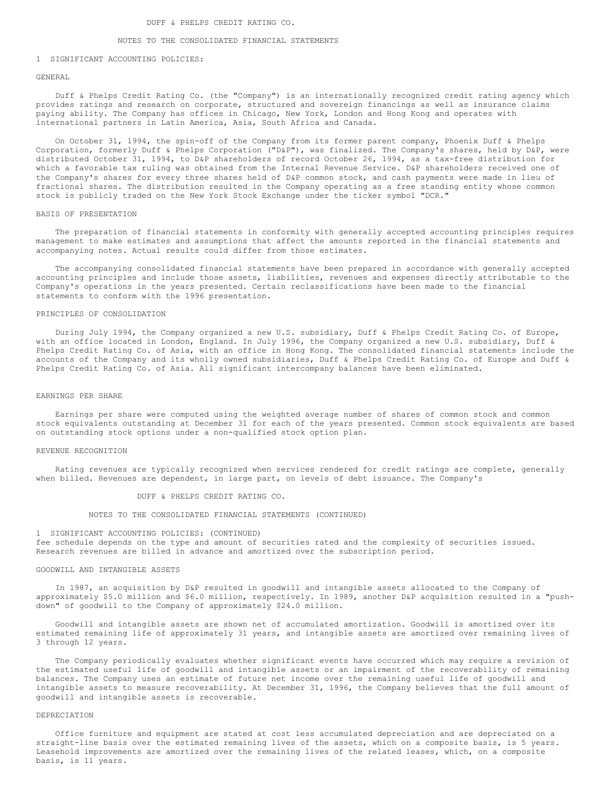# NOTES TO THE CONSOLIDATED FINANCIAL STATEMENTS

### 1 SIGNIFICANT ACCOUNTING POLICIES:

# GENERAL

 Duff & Phelps Credit Rating Co. (the "Company") is an internationally recognized credit rating agency which provides ratings and research on corporate, structured and sovereign financings as well as insurance claims paying ability. The Company has offices in Chicago, New York, London and Hong Kong and operates with international partners in Latin America, Asia, South Africa and Canada.

 On October 31, 1994, the spin-off of the Company from its former parent company, Phoenix Duff & Phelps Corporation, formerly Duff & Phelps Corporation ("D&P"), was finalized. The Company's shares, held by D&P, were distributed October 31, 1994, to D&P shareholders of record October 26, 1994, as a tax-free distribution for which a favorable tax ruling was obtained from the Internal Revenue Service. D&P shareholders received one of the Company's shares for every three shares held of D&P common stock, and cash payments were made in lieu of fractional shares. The distribution resulted in the Company operating as a free standing entity whose common stock is publicly traded on the New York Stock Exchange under the ticker symbol "DCR."

#### BASIS OF PRESENTATION

 The preparation of financial statements in conformity with generally accepted accounting principles requires management to make estimates and assumptions that affect the amounts reported in the financial statements and accompanying notes. Actual results could differ from those estimates.

 The accompanying consolidated financial statements have been prepared in accordance with generally accepted accounting principles and include those assets, liabilities, revenues and expenses directly attributable to the Company's operations in the years presented. Certain reclassifications have been made to the financial statements to conform with the 1996 presentation.

# PRINCIPLES OF CONSOLIDATION

 During July 1994, the Company organized a new U.S. subsidiary, Duff & Phelps Credit Rating Co. of Europe, with an office located in London, England. In July 1996, the Company organized a new U.S. subsidiary, Duff & Phelps Credit Rating Co. of Asia, with an office in Hong Kong. The consolidated financial statements include the accounts of the Company and its wholly owned subsidiaries, Duff & Phelps Credit Rating Co. of Europe and Duff & Phelps Credit Rating Co. of Asia. All significant intercompany balances have been eliminated.

#### EARNINGS PER SHARE

 Earnings per share were computed using the weighted average number of shares of common stock and common stock equivalents outstanding at December 31 for each of the years presented. Common stock equivalents are based on outstanding stock options under a non-qualified stock option plan.

#### REVENUE RECOGNITION

 Rating revenues are typically recognized when services rendered for credit ratings are complete, generally when billed. Revenues are dependent, in large part, on levels of debt issuance. The Company's

#### DUFF & PHELPS CREDIT RATING CO.

NOTES TO THE CONSOLIDATED FINANCIAL STATEMENTS (CONTINUED)

# 1 SIGNIFICANT ACCOUNTING POLICIES: (CONTINUED)

fee schedule depends on the type and amount of securities rated and the complexity of securities issued. Research revenues are billed in advance and amortized over the subscription period.

#### GOODWILL AND INTANGIBLE ASSETS

 In 1987, an acquisition by D&P resulted in goodwill and intangible assets allocated to the Company of approximately \$5.0 million and \$6.0 million, respectively. In 1989, another D&P acquisition resulted in a "pushdown" of goodwill to the Company of approximately \$24.0 million.

 Goodwill and intangible assets are shown net of accumulated amortization. Goodwill is amortized over its estimated remaining life of approximately 31 years, and intangible assets are amortized over remaining lives of 3 through 12 years.

 The Company periodically evaluates whether significant events have occurred which may require a revision of the estimated useful life of goodwill and intangible assets or an impairment of the recoverability of remaining balances. The Company uses an estimate of future net income over the remaining useful life of goodwill and intangible assets to measure recoverability. At December 31, 1996, the Company believes that the full amount of goodwill and intangible assets is recoverable.

# DEPRECIATION

 Office furniture and equipment are stated at cost less accumulated depreciation and are depreciated on a straight-line basis over the estimated remaining lives of the assets, which on a composite basis, is 5 years. Leasehold improvements are amortized over the remaining lives of the related leases, which, on a composite basis, is 11 years.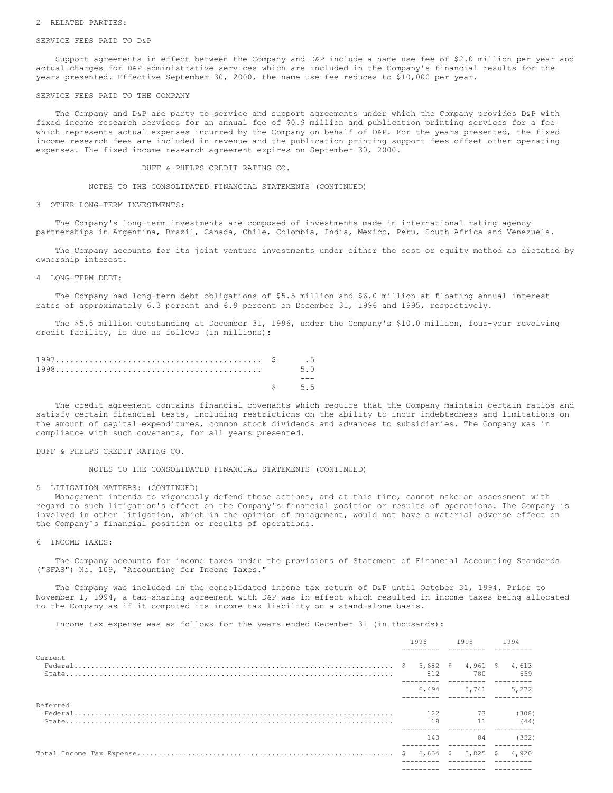#### 2 RELATED PARTIES:

#### SERVICE FEES PAID TO D&P

 Support agreements in effect between the Company and D&P include a name use fee of \$2.0 million per year and actual charges for D&P administrative services which are included in the Company's financial results for the years presented. Effective September 30, 2000, the name use fee reduces to \$10,000 per year.

#### SERVICE FEES PAID TO THE COMPANY

 The Company and D&P are party to service and support agreements under which the Company provides D&P with fixed income research services for an annual fee of \$0.9 million and publication printing services for a fee which represents actual expenses incurred by the Company on behalf of D&P. For the years presented, the fixed income research fees are included in revenue and the publication printing support fees offset other operating expenses. The fixed income research agreement expires on September 30, 2000.

#### DUFF & PHELPS CREDIT RATING CO.

NOTES TO THE CONSOLIDATED FINANCIAL STATEMENTS (CONTINUED)

#### 3 OTHER LONG-TERM INVESTMENTS:

 The Company's long-term investments are composed of investments made in international rating agency partnerships in Argentina, Brazil, Canada, Chile, Colombia, India, Mexico, Peru, South Africa and Venezuela.

 The Company accounts for its joint venture investments under either the cost or equity method as dictated by ownership interest.

#### 4 LONG-TERM DEBT:

 The Company had long-term debt obligations of \$5.5 million and \$6.0 million at floating annual interest rates of approximately 6.3 percent and 6.9 percent on December 31, 1996 and 1995, respectively.

 The \$5.5 million outstanding at December 31, 1996, under the Company's \$10.0 million, four-year revolving credit facility, is due as follows (in millions):

|  | 5.0           |
|--|---------------|
|  |               |
|  | $5 \quad 5.5$ |

 The credit agreement contains financial covenants which require that the Company maintain certain ratios and satisfy certain financial tests, including restrictions on the ability to incur indebtedness and limitations on the amount of capital expenditures, common stock dividends and advances to subsidiaries. The Company was in compliance with such covenants, for all years presented.

#### DUFF & PHELPS CREDIT RATING CO.

NOTES TO THE CONSOLIDATED FINANCIAL STATEMENTS (CONTINUED)

#### 5 LITIGATION MATTERS: (CONTINUED)

 Management intends to vigorously defend these actions, and at this time, cannot make an assessment with regard to such litigation's effect on the Company's financial position or results of operations. The Company is involved in other litigation, which in the opinion of management, would not have a material adverse effect on the Company's financial position or results of operations.

#### 6 INCOME TAXES:

 The Company accounts for income taxes under the provisions of Statement of Financial Accounting Standards ("SFAS") No. 109, "Accounting for Income Taxes."

 The Company was included in the consolidated income tax return of D&P until October 31, 1994. Prior to November 1, 1994, a tax-sharing agreement with D&P was in effect which resulted in income taxes being allocated to the Company as if it computed its income tax liability on a stand-alone basis.

Income tax expense was as follows for the years ended December 31 (in thousands):

|          | 1996 |              |  |              | 1995                      |  | 1994 |
|----------|------|--------------|--|--------------|---------------------------|--|------|
| Current  |      | 812<br>6,494 |  | 780<br>5,741 | 659<br>5,272              |  |      |
| Deferred |      | 122<br>18    |  | 73<br>11     | (308)<br>(44)             |  |      |
|          |      | 140          |  | 84           | (352)<br>$5,825$ \$ 4,920 |  |      |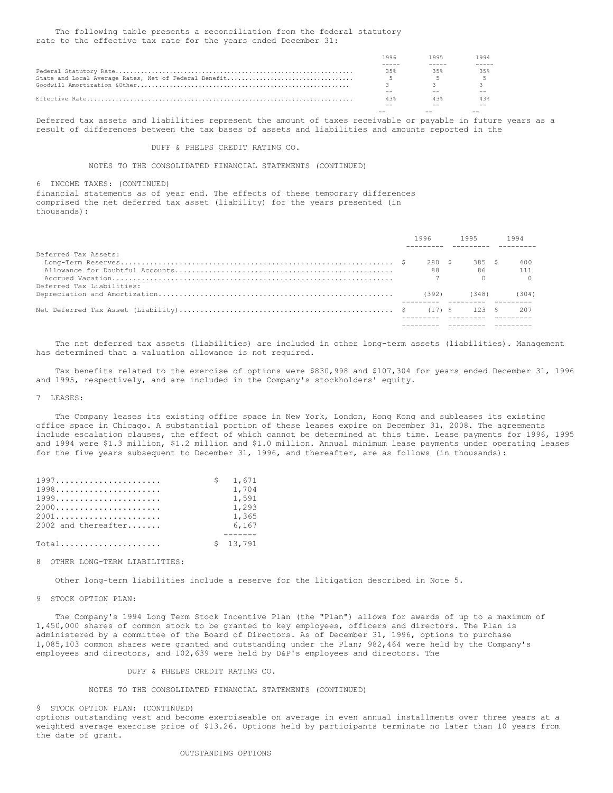The following table presents a reconciliation from the federal statutory rate to the effective tax rate for the years ended December 31:

| $ -$  | --    |      |
|-------|-------|------|
| 43%   | 43%   |      |
| $- -$ | $- -$ |      |
|       |       |      |
|       |       |      |
| 3.5%  | 35%   | 35%  |
|       |       |      |
| 1996  | 1995  | 1994 |

Deferred tax assets and liabilities represent the amount of taxes receivable or payable in future years as a result of differences between the tax bases of assets and liabilities and amounts reported in the

# DUFF & PHELPS CREDIT RATING CO.

NOTES TO THE CONSOLIDATED FINANCIAL STATEMENTS (CONTINUED)

6 INCOME TAXES: (CONTINUED)

financial statements as of year end. The effects of these temporary differences comprised the net deferred tax asset (liability) for the years presented (in thousands):

|                           | 1996 |  | 1995 |                                     | 1994 |       |
|---------------------------|------|--|------|-------------------------------------|------|-------|
|                           |      |  |      | docentral deserties descriptio      |      |       |
| Deferred Tax Assets:      |      |  |      |                                     |      |       |
|                           |      |  |      |                                     |      |       |
|                           |      |  |      | 88 86 111                           |      |       |
|                           |      |  |      |                                     |      |       |
| Deferred Tax Liabilities: |      |  |      |                                     |      |       |
|                           |      |  |      | (348)                               |      | (304) |
|                           |      |  |      | according the contract the contract |      |       |
|                           |      |  |      |                                     |      |       |
|                           |      |  |      |                                     |      |       |
|                           |      |  |      |                                     |      |       |

 The net deferred tax assets (liabilities) are included in other long-term assets (liabilities). Management has determined that a valuation allowance is not required.

 Tax benefits related to the exercise of options were \$830,998 and \$107,304 for years ended December 31, 1996 and 1995, respectively, and are included in the Company's stockholders' equity.

#### 7 LEASES:

 The Company leases its existing office space in New York, London, Hong Kong and subleases its existing office space in Chicago. A substantial portion of these leases expire on December 31, 2008. The agreements include escalation clauses, the effect of which cannot be determined at this time. Lease payments for 1996, 1995 and 1994 were \$1.3 million, \$1.2 million and \$1.0 million. Annual minimum lease payments under operating leases for the five years subsequent to December 31, 1996, and thereafter, are as follows (in thousands):

|                     | S. | 1,671    |
|---------------------|----|----------|
| $1998$              |    | 1,704    |
|                     |    | 1,591    |
| 2000                |    | 1,293    |
| 2001                |    | 1,365    |
| 2002 and thereafter |    | 6,167    |
|                     |    |          |
| $Total$             |    | \$13,791 |

8 OTHER LONG-TERM LIABILITIES:

Other long-term liabilities include a reserve for the litigation described in Note 5.

#### 9 STOCK OPTION PLAN.

 The Company's 1994 Long Term Stock Incentive Plan (the "Plan") allows for awards of up to a maximum of 1,450,000 shares of common stock to be granted to key employees, officers and directors. The Plan is administered by a committee of the Board of Directors. As of December 31, 1996, options to purchase 1,085,103 common shares were granted and outstanding under the Plan; 982,464 were held by the Company's employees and directors, and 102,639 were held by D&P's employees and directors. The

DUFF & PHELPS CREDIT RATING CO.

NOTES TO THE CONSOLIDATED FINANCIAL STATEMENTS (CONTINUED)

#### 9 STOCK OPTION PLAN: (CONTINUED)

options outstanding vest and become exerciseable on average in even annual installments over three years at a weighted average exercise price of \$13.26. Options held by participants terminate no later than 10 years from the date of grant.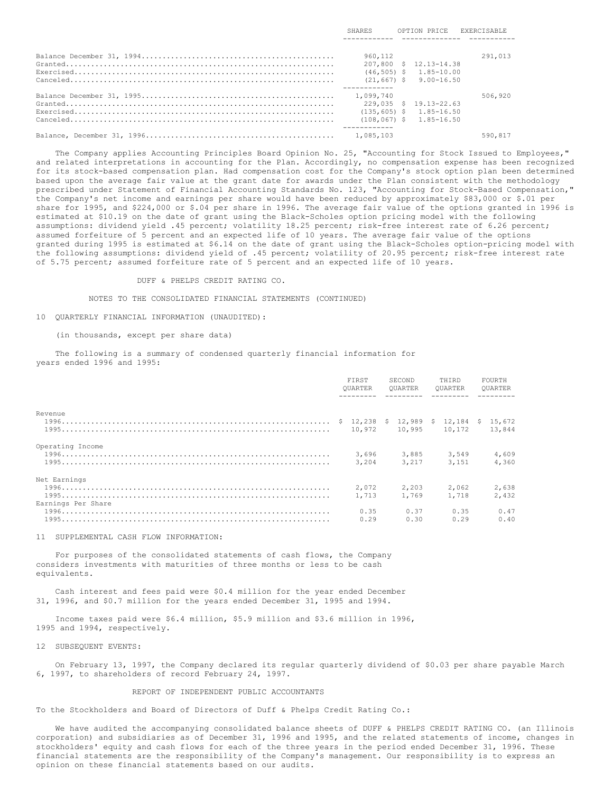|                                                                                                                                 | SHARES    | OPTION PRICE                                                                       | EXERCISABLE |
|---------------------------------------------------------------------------------------------------------------------------------|-----------|------------------------------------------------------------------------------------|-------------|
| $C$ <i>canceled</i> $\ldots$ $\ldots$ $\ldots$ $\ldots$ $\ldots$ $\ldots$ $\ldots$ $\ldots$ $\ldots$ $\ldots$ $\ldots$ $\ldots$ | 960,112   | 207,800 \$ 12.13-14.38<br>$(46, 505)$ \$ 1.85-10.00<br>$(21, 667)$ \$ 9.00-16.50   | 291,013     |
|                                                                                                                                 | 1,099,740 | 229,035 \$ 19.13-22.63<br>$(135, 605)$ \$ 1.85-16.50<br>$(108, 067)$ \$ 1.85-16.50 | 506,920     |
|                                                                                                                                 | 1,085,103 |                                                                                    | 590,817     |

The Company applies Accounting Principles Board Opinion No. 25, "Accounting for Stock Issued to Employees," and related interpretations in accounting for the Plan. Accordingly, no compensation expense has been recognized for its stock-based compensation plan. Had compensation cost for the Company's stock option plan been determined based upon the average fair value at the grant date for awards under the Plan consistent with the methodology prescribed under Statement of Financial Accounting Standards No. 123, "Accounting for Stock-Based Compensation," the Company's net income and earnings per share would have been reduced by approximately \$83,000 or \$.01 per share for 1995, and \$224,000 or \$.04 per share in 1996. The average fair value of the options granted in 1996 is estimated at \$10.19 on the date of grant using the Black-Scholes option pricing model with the following assumptions: dividend yield .45 percent; volatility 18.25 percent; risk-free interest rate of 6.26 percent; assumed forfeiture of 5 percent and an expected life of 10 years. The average fair value of the options granted during 1995 is estimated at \$6.14 on the date of grant using the Black-Scholes option-pricing model with the following assumptions: dividend yield of .45 percent; volatility of 20.95 percent; risk-free interest rate of 5.75 percent; assumed forfeiture rate of 5 percent and an expected life of 10 years.

DUFF & PHELPS CREDIT RATING CO.

# NOTES TO THE CONSOLIDATED FINANCIAL STATEMENTS (CONTINUED)

#### 10 QUARTERLY FINANCIAL INFORMATION (UNAUDITED):

(in thousands, except per share data)

 The following is a summary of condensed quarterly financial information for years ended 1996 and 1995:

|                                        | FIRST<br><b>OUARTER</b> | SECOND<br>OUARTER           | THIRD<br><b>OUARTER</b> | <b>FOURTH</b><br><b>OUARTER</b> |  |
|----------------------------------------|-------------------------|-----------------------------|-------------------------|---------------------------------|--|
| Revenue<br>$1996$ $12,184$ \$ $15,672$ |                         | 10,972 10,995 10,172 13,844 |                         |                                 |  |
| Operating Income                       | 3,696<br>3,204          | 3,885<br>3,217              | 3,549<br>3,151          | 4,609<br>4,360                  |  |
| Net Earnings<br>Earnings Per Share     | 2,072<br>1,713<br>0.35  | 2,203<br>1,769<br>0.37      | 2,062<br>1,718<br>0.35  | 2,638<br>2,432<br>0.47          |  |
|                                        | 0.29                    | 0.30                        | 0.29                    | 0.40                            |  |

11 SUPPLEMENTAL CASH FLOW INFORMATION:

 For purposes of the consolidated statements of cash flows, the Company considers investments with maturities of three months or less to be cash equivalents.

 Cash interest and fees paid were \$0.4 million for the year ended December 31, 1996, and \$0.7 million for the years ended December 31, 1995 and 1994.

 Income taxes paid were \$6.4 million, \$5.9 million and \$3.6 million in 1996, 1995 and 1994, respectively.

12 SUBSEQUENT EVENTS:

 On February 13, 1997, the Company declared its regular quarterly dividend of \$0.03 per share payable March 6, 1997, to shareholders of record February 24, 1997.

# REPORT OF INDEPENDENT PUBLIC ACCOUNTANTS

To the Stockholders and Board of Directors of Duff & Phelps Credit Rating Co.:

 We have audited the accompanying consolidated balance sheets of DUFF & PHELPS CREDIT RATING CO. (an Illinois corporation) and subsidiaries as of December 31, 1996 and 1995, and the related statements of income, changes in stockholders' equity and cash flows for each of the three years in the period ended December 31, 1996. These financial statements are the responsibility of the Company's management. Our responsibility is to express an opinion on these financial statements based on our audits.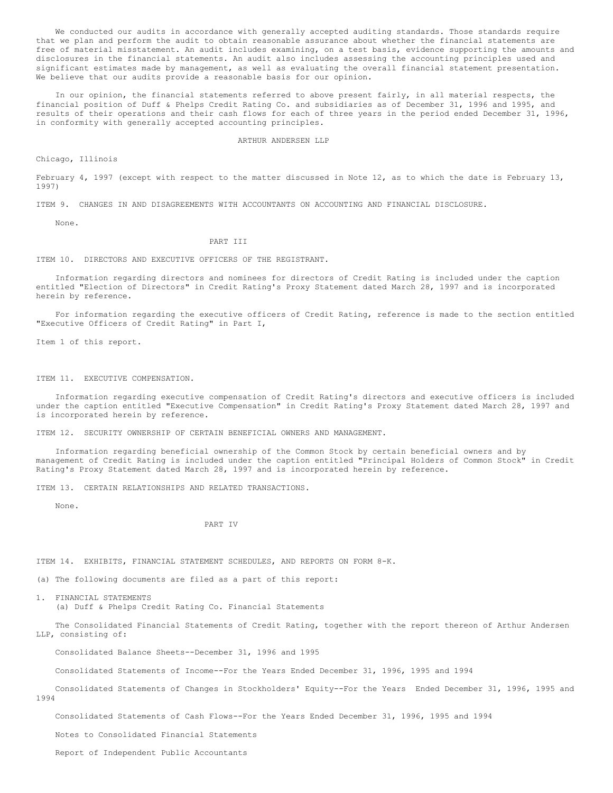We conducted our audits in accordance with generally accepted auditing standards. Those standards require that we plan and perform the audit to obtain reasonable assurance about whether the financial statements are free of material misstatement. An audit includes examining, on a test basis, evidence supporting the amounts and disclosures in the financial statements. An audit also includes assessing the accounting principles used and significant estimates made by management, as well as evaluating the overall financial statement presentation. We believe that our audits provide a reasonable basis for our opinion.

 In our opinion, the financial statements referred to above present fairly, in all material respects, the financial position of Duff & Phelps Credit Rating Co. and subsidiaries as of December 31, 1996 and 1995, and results of their operations and their cash flows for each of three years in the period ended December 31, 1996, in conformity with generally accepted accounting principles.

ARTHUR ANDERSEN LLP

Chicago, Illinois

February 4, 1997 (except with respect to the matter discussed in Note 12, as to which the date is February 13, 1997)

ITEM 9. CHANGES IN AND DISAGREEMENTS WITH ACCOUNTANTS ON ACCOUNTING AND FINANCIAL DISCLOSURE.

None.

# PART TTT

ITEM 10. DIRECTORS AND EXECUTIVE OFFICERS OF THE REGISTRANT.

 Information regarding directors and nominees for directors of Credit Rating is included under the caption entitled "Election of Directors" in Credit Rating's Proxy Statement dated March 28, 1997 and is incorporated herein by reference.

 For information regarding the executive officers of Credit Rating, reference is made to the section entitled "Executive Officers of Credit Rating" in Part I,

Item 1 of this report.

# ITEM 11. EXECUTIVE COMPENSATION.

 Information regarding executive compensation of Credit Rating's directors and executive officers is included under the caption entitled "Executive Compensation" in Credit Rating's Proxy Statement dated March 28, 1997 and is incorporated herein by reference.

ITEM 12. SECURITY OWNERSHIP OF CERTAIN BENEFICIAL OWNERS AND MANAGEMENT.

 Information regarding beneficial ownership of the Common Stock by certain beneficial owners and by management of Credit Rating is included under the caption entitled "Principal Holders of Common Stock" in Credit Rating's Proxy Statement dated March 28, 1997 and is incorporated herein by reference.

ITEM 13. CERTAIN RELATIONSHIPS AND RELATED TRANSACTIONS.

None.

### PART IV

ITEM 14. EXHIBITS, FINANCIAL STATEMENT SCHEDULES, AND REPORTS ON FORM 8-K.

(a) The following documents are filed as a part of this report:

1. FINANCIAL STATEMENTS (a) Duff & Phelps Credit Rating Co. Financial Statements

 The Consolidated Financial Statements of Credit Rating, together with the report thereon of Arthur Andersen LLP, consisting of:

Consolidated Balance Sheets--December 31, 1996 and 1995

Consolidated Statements of Income--For the Years Ended December 31, 1996, 1995 and 1994

 Consolidated Statements of Changes in Stockholders' Equity--For the Years Ended December 31, 1996, 1995 and 1994

Consolidated Statements of Cash Flows--For the Years Ended December 31, 1996, 1995 and 1994

Notes to Consolidated Financial Statements

Report of Independent Public Accountants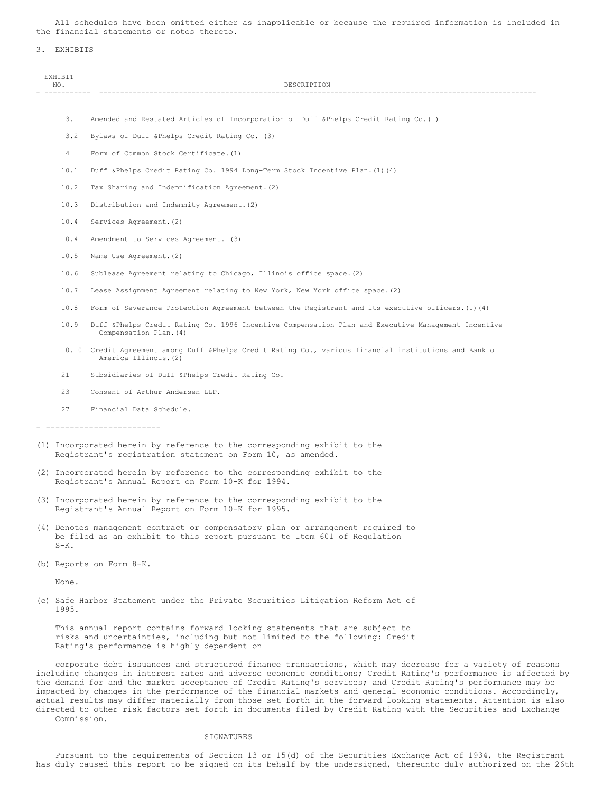All schedules have been omitted either as inapplicable or because the required information is included in the financial statements or notes thereto.

3. EXHIBITS

| EXHIBIT        |                                                                                                                                                             |
|----------------|-------------------------------------------------------------------------------------------------------------------------------------------------------------|
| NO.            | DESCRIPTION                                                                                                                                                 |
|                |                                                                                                                                                             |
| 3.1            | Amended and Restated Articles of Incorporation of Duff & Phelps Credit Rating Co. (1)                                                                       |
| 3.2            | Bylaws of Duff & Phelps Credit Rating Co. (3)                                                                                                               |
| $\overline{4}$ | Form of Common Stock Certificate. (1)                                                                                                                       |
| 10.1           | Duff & Phelps Credit Rating Co. 1994 Long-Term Stock Incentive Plan. (1) (4)                                                                                |
| 10.2           | Tax Sharing and Indemnification Agreement. (2)                                                                                                              |
| 10.3           | Distribution and Indemnity Agreement. (2)                                                                                                                   |
| 10.4           | Services Agreement. (2)                                                                                                                                     |
|                | 10.41 Amendment to Services Agreement. (3)                                                                                                                  |
| 10.5           | Name Use Agreement. (2)                                                                                                                                     |
| 10.6           | Sublease Agreement relating to Chicago, Illinois office space. (2)                                                                                          |
| 10.7           | Lease Assignment Agreement relating to New York, New York office space. (2)                                                                                 |
| 10.8           | Form of Severance Protection Agreement between the Registrant and its executive officers. (1) (4)                                                           |
| 10.9           | Duff &Phelps Credit Rating Co. 1996 Incentive Compensation Plan and Executive Management Incentive<br>Compensation Plan. (4)                                |
|                | 10.10 Credit Agreement among Duff & Phelps Credit Rating Co., various financial institutions and Bank of<br>America Illinois. (2)                           |
| 21             | Subsidiaries of Duff & Phelps Credit Rating Co.                                                                                                             |
| 23             | Consent of Arthur Andersen LLP.                                                                                                                             |
| 27             | Financial Data Schedule.                                                                                                                                    |
|                | -----------------------                                                                                                                                     |
|                | (1) Incorporated herein by reference to the corresponding exhibit to the<br>Registrant's registration statement on Form 10, as amended.                     |
|                | (2) Incorporated herein by reference to the corresponding exhibit to the<br>Registrant's Annual Report on Form 10-K for 1994.                               |
|                | (3) Incorporated herein by reference to the corresponding exhibit to the<br>Registrant's Annual Report on Form 10-K for 1995.                               |
| $S-K$ .        | (4) Denotes management contract or compensatory plan or arrangement required to<br>be filed as an exhibit to this report pursuant to Item 601 of Regulation |
|                | (b) Reports on Form 8-K.                                                                                                                                    |
| None.          |                                                                                                                                                             |
| 1995.          | (c) Safe Harbor Statement under the Private Securities Litigation Reform Act of                                                                             |

 This annual report contains forward looking statements that are subject to risks and uncertainties, including but not limited to the following: Credit Rating's performance is highly dependent on

 corporate debt issuances and structured finance transactions, which may decrease for a variety of reasons including changes in interest rates and adverse economic conditions; Credit Rating's performance is affected by the demand for and the market acceptance of Credit Rating's services; and Credit Rating's performance may be impacted by changes in the performance of the financial markets and general economic conditions. Accordingly, actual results may differ materially from those set forth in the forward looking statements. Attention is also directed to other risk factors set forth in documents filed by Credit Rating with the Securities and Exchange Commission.

#### SIGNATURES

 Pursuant to the requirements of Section 13 or 15(d) of the Securities Exchange Act of 1934, the Registrant has duly caused this report to be signed on its behalf by the undersigned, thereunto duly authorized on the 26th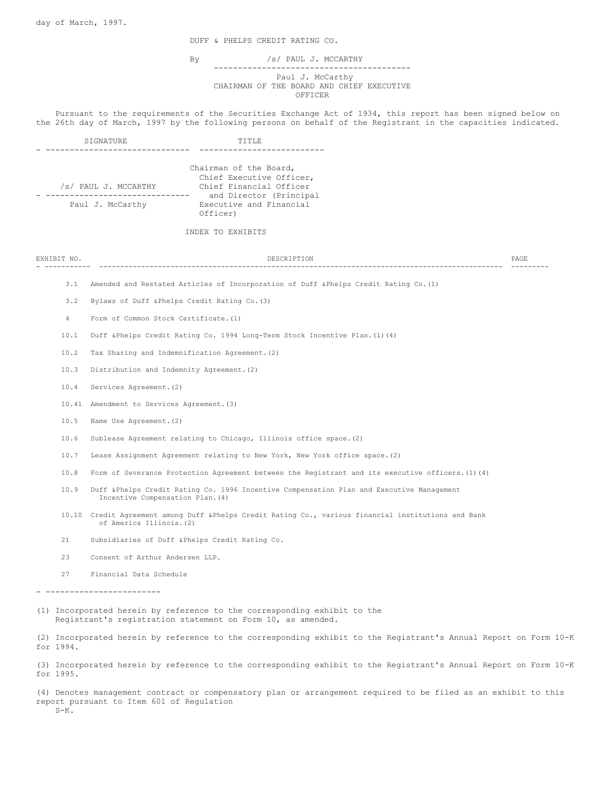day of March, 1997.

DUFF & PHELPS CREDIT RATING CO.

 By /s/ PAUL J. MCCARTHY ----------------------------------------- Paul J. McCarthy CHAIRMAN OF THE BOARD AND CHIEF EXECUTIVE OFFICER

 Pursuant to the requirements of the Securities Exchange Act of 1934, this report has been signed below on the 26th day of March, 1997 by the following persons on behalf of the Registrant in the capacities indicated.

|                                          | SIGNATURE                                  | TITLE                                                                                                                                                                    |                                                                                                                  |      |
|------------------------------------------|--------------------------------------------|--------------------------------------------------------------------------------------------------------------------------------------------------------------------------|------------------------------------------------------------------------------------------------------------------|------|
| /s/ PAUL J. MCCARTHY<br>Paul J. McCarthy |                                            | Chairman of the Board,<br>Chief Executive Officer,<br>Chief Financial Officer<br>------------------------ and Director (Principal<br>Executive and Financial<br>Officer) |                                                                                                                  |      |
|                                          |                                            | INDEX TO EXHIBITS                                                                                                                                                        |                                                                                                                  |      |
| EXHIBIT NO.                              |                                            | DESCRIPTION                                                                                                                                                              |                                                                                                                  | PAGE |
|                                          |                                            | 3.1 Amended and Restated Articles of Incorporation of Duff &Phelps Credit Rating Co. (1)                                                                                 |                                                                                                                  |      |
| 3.2                                      |                                            | Bylaws of Duff & Phelps Credit Rating Co. (3)                                                                                                                            |                                                                                                                  |      |
| $\overline{4}$                           | Form of Common Stock Certificate. (1)      |                                                                                                                                                                          |                                                                                                                  |      |
| 10.1                                     |                                            | Duff & Phelps Credit Rating Co. 1994 Long-Term Stock Incentive Plan. (1) (4)                                                                                             |                                                                                                                  |      |
| 10.2                                     |                                            | Tax Sharing and Indemnification Agreement. (2)                                                                                                                           |                                                                                                                  |      |
| 10.3                                     | Distribution and Indemnity Agreement. (2)  |                                                                                                                                                                          |                                                                                                                  |      |
| 10.4                                     | Services Agreement. (2)                    |                                                                                                                                                                          |                                                                                                                  |      |
|                                          | 10.41 Amendment to Services Agreement. (3) |                                                                                                                                                                          |                                                                                                                  |      |
| 10.5                                     | Name Use Agreement. (2)                    |                                                                                                                                                                          |                                                                                                                  |      |
| 10.6                                     |                                            | Sublease Agreement relating to Chicago, Illinois office space. (2)                                                                                                       |                                                                                                                  |      |
| 10.7                                     |                                            | Lease Assignment Agreement relating to New York, New York office space. (2)                                                                                              |                                                                                                                  |      |
| 10.8                                     |                                            |                                                                                                                                                                          | Form of Severance Protection Agreement between the Registrant and its executive officers. (1) (4)                |      |
| 10.9                                     | Incentive Compensation Plan. (4)           | Duff & Phelps Credit Rating Co. 1996 Incentive Compensation Plan and Executive Management                                                                                |                                                                                                                  |      |
|                                          | of America Illinois. (2)                   |                                                                                                                                                                          | 10.10 Credit Agreement among Duff & Phelps Credit Rating Co., various financial institutions and Bank            |      |
| 21                                       |                                            | Subsidiaries of Duff & Phelps Credit Rating Co.                                                                                                                          |                                                                                                                  |      |
| 23                                       | Consent of Arthur Andersen LLP.            |                                                                                                                                                                          |                                                                                                                  |      |
| 27                                       | Financial Data Schedule                    |                                                                                                                                                                          |                                                                                                                  |      |
|                                          | _ _________________________                |                                                                                                                                                                          |                                                                                                                  |      |
|                                          |                                            | (1) Incorporated herein by reference to the corresponding exhibit to the<br>Registrant's registration statement on Form 10, as amended.                                  |                                                                                                                  |      |
| for 1994.                                |                                            |                                                                                                                                                                          | (2) Incorporated herein by reference to the corresponding exhibit to the Registrant's Annual Report on Form 10-K |      |
| for 1995.                                |                                            |                                                                                                                                                                          | (3) Incorporated herein by reference to the corresponding exhibit to the Registrant's Annual Report on Form 10-K |      |
| $S-K$ .                                  | report pursuant to Item 601 of Requlation  |                                                                                                                                                                          | (4) Denotes management contract or compensatory plan or arrangement required to be filed as an exhibit to this   |      |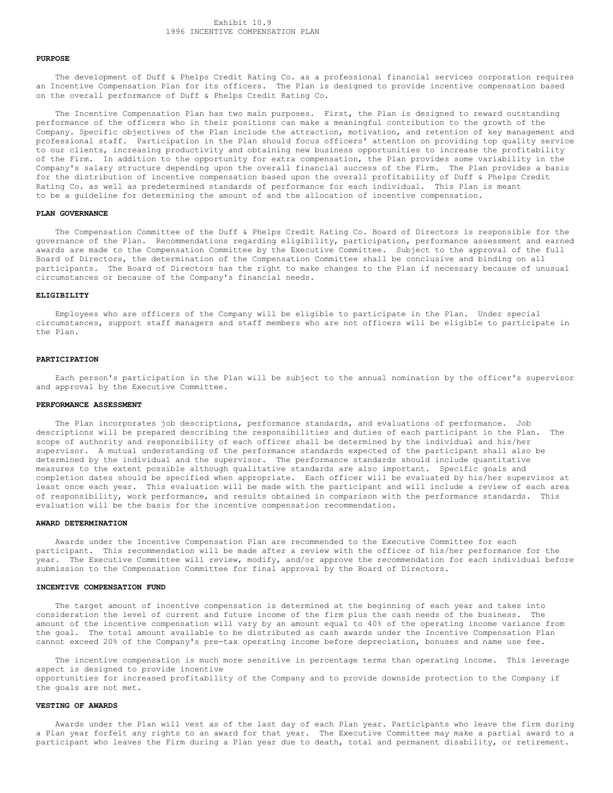#### **PURPOSE**

 The development of Duff & Phelps Credit Rating Co. as a professional financial services corporation requires an Incentive Compensation Plan for its officers. The Plan is designed to provide incentive compensation based on the overall performance of Duff & Phelps Credit Rating Co.

 The Incentive Compensation Plan has two main purposes. First, the Plan is designed to reward outstanding performance of the officers who in their positions can make a meaningful contribution to the growth of the Company. Specific objectives of the Plan include the attraction, motivation, and retention of key management and professional staff. Participation in the Plan should focus officers' attention on providing top quality service to our clients, increasing productivity and obtaining new business opportunities to increase the profitability of the Firm. In addition to the opportunity for extra compensation, the Plan provides some variability in the Company's salary structure depending upon the overall financial success of the Firm. The Plan provides a basis for the distribution of incentive compensation based upon the overall profitability of Duff & Phelps Credit Rating Co. as well as predetermined standards of performance for each individual. This Plan is meant to be a guideline for determining the amount of and the allocation of incentive compensation.

#### **PLAN GOVERNANCE**

 The Compensation Committee of the Duff & Phelps Credit Rating Co. Board of Directors is responsible for the governance of the Plan. Recommendations regarding eligibility, participation, performance assessment and earned awards are made to the Compensation Committee by the Executive Committee. Subject to the approval of the full Board of Directors, the determination of the Compensation Committee shall be conclusive and binding on all participants. The Board of Directors has the right to make changes to the Plan if necessary because of unusual circumstances or because of the Company's financial needs.

# **ELIGIBILITY**

 Employees who are officers of the Company will be eligible to participate in the Plan. Under special circumstances, support staff managers and staff members who are not officers will be eligible to participate in the Plan.

#### **PARTICIPATION**

 Each person's participation in the Plan will be subject to the annual nomination by the officer's supervisor and approval by the Executive Committee.

# **PERFORMANCE ASSESSMENT**

 The Plan incorporates job descriptions, performance standards, and evaluations of performance. Job descriptions will be prepared describing the responsibilities and duties of each participant in the Plan. The scope of authority and responsibility of each officer shall be determined by the individual and his/her supervisor. A mutual understanding of the performance standards expected of the participant shall also be determined by the individual and the supervisor. The performance standards should include quantitative measures to the extent possible although qualitative standards are also important. Specific goals and completion dates should be specified when appropriate. Each officer will be evaluated by his/her supervisor at least once each year. This evaluation will be made with the participant and will include a review of each area of responsibility, work performance, and results obtained in comparison with the performance standards. This evaluation will be the basis for the incentive compensation recommendation.

#### **AWARD DETERMINATION**

 Awards under the Incentive Compensation Plan are recommended to the Executive Committee for each participant. This recommendation will be made after a review with the officer of his/her performance for the year. The Executive Committee will review, modify, and/or approve the recommendation for each individual before submission to the Compensation Committee for final approval by the Board of Directors.

#### **INCENTIVE COMPENSATION FUND**

 The target amount of incentive compensation is determined at the beginning of each year and takes into consideration the level of current and future income of the firm plus the cash needs of the business. The amount of the incentive compensation will vary by an amount equal to 40% of the operating income variance from the goal. The total amount available to be distributed as cash awards under the Incentive Compensation Plan cannot exceed 20% of the Company's pre-tax operating income before depreciation, bonuses and name use fee.

 The incentive compensation is much more sensitive in percentage terms than operating income. This leverage aspect is designed to provide incentive opportunities for increased profitability of the Company and to provide downside protection to the Company if the goals are not met.

#### **VESTING OF AWARDS**

 Awards under the Plan will vest as of the last day of each Plan year. Participants who leave the firm during a Plan year forfeit any rights to an award for that year. The Executive Committee may make a partial award to a participant who leaves the Firm during a Plan year due to death, total and permanent disability, or retirement.